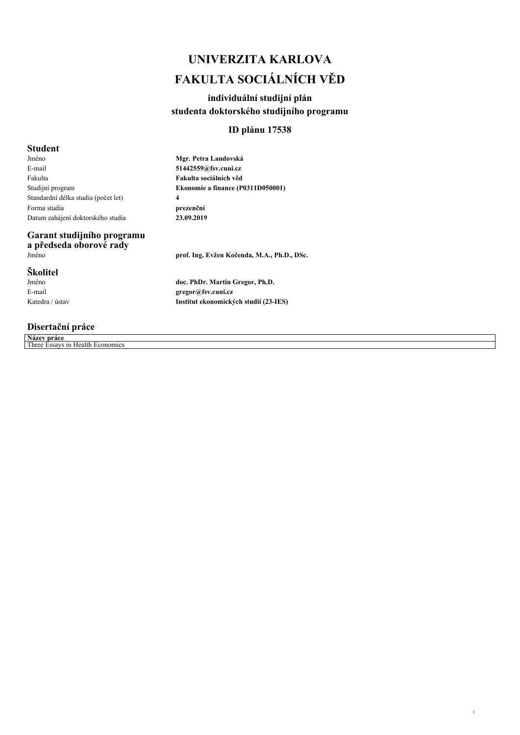# *UNIVERZITA KARLOVA FAKULTA SOCIÁLNÍCH VĚD*

# *individuální studijní plán studenta doktorského studijního programu*

## *ID plánu 17538*

## *Student*

*Jméno E-mail Fakulta Studijní program Standardní délka studia (počet let) Forma studia Datum zahájení doktorského studia* *Mgr. Petra Landovská 51442559@fsv.cuni.cz Fakulta sociálních věd Ekonomie a finance (P0311D050001) 4 prezenční 23.09.2019*

# *Garant studijního programu*

*a předseda oborové rady*

## *Školitel*

*Jméno E-mail Katedra / ústav*

## *Disertační práce*

*Název práce Three Essays in Health Economics*

*Jméno prof. Ing. Evžen Kočenda, M.A., Ph.D., DSc.*

*1*

*doc. PhDr. Martin Gregor, Ph.D. gregor@fsv.cuni.cz Institut ekonomických studií (23-IES)*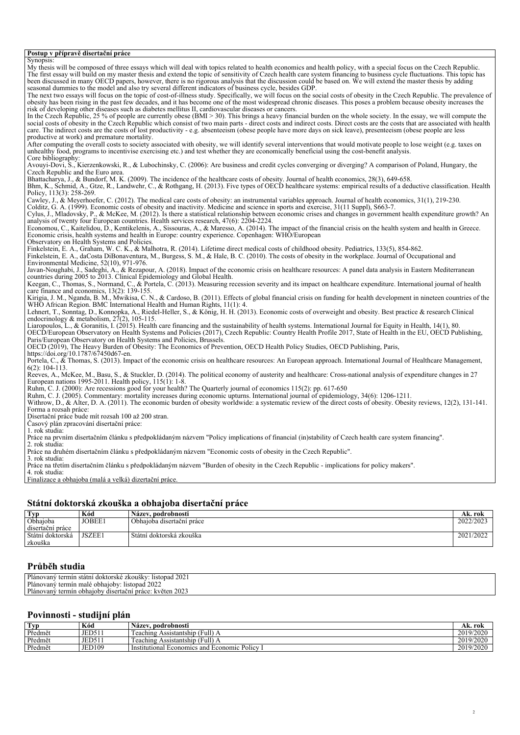#### *Postup v přípravě disertační práce*

*Synopsis: My thesis will be composed of three essays which will deal with topics related to health economics and health policy, with a special focus on the Czech Republic. The first essay will build on my master thesis and extend the topic of sensitivity of Czech health care system financing to business cycle fluctuations. This topic has been discussed in many OECD papers, however, there is no rigorous analysis that the discussion could be based on. We will extend the master thesis by adding seasonal dummies to the model and also try several different indicators of business cycle, besides GDP. The next two essays will focus on the topic of cost-of-illness study. Specifically, we will focus on the social costs of obesity in the Czech Republic. The prevalence of obesity has been rising in the past few decades, and it has become one of the most widespread chronic diseases. This poses a problem because obesity increases the risk of developing other diseases such as diabetes mellitus II, cardiovascular diseases or cancers. In the Czech Republic, 25 % of people are currently obese (BMI > 30). This brings a heavy financial burden on the whole society. In the essay, we will compute the* social costs of obesity in the Czech Republic which consist of two main parts - direct costs and indirect costs. Direct costs are the costs that are associated with health *care. The indirect costs are the costs of lost productivity - e.g. absenteeism (obese people have more days on sick leave), presenteeism (obese people are less productive at work) and premature mortality. After computing the overall costs to society associated with obesity, we will identify several interventions that would motivate people to lose weight (e.g. taxes on unhealthy food, programs to incentivise exercising etc.) and test whether they are economically beneficial using the cost-benefit analysis. Core bibliography: Avouyi-Dovi, S., Kierzenkowski, R., & Lubochinsky, C. (2006): Are business and credit cycles converging or diverging? A comparison of Poland, Hungary, the Czech Republic and the Euro area. Bhattacharya, J., & Bundorf, M. K. (2009). The incidence of the healthcare costs of obesity. Journal of health economics, 28(3), 649-658. Bhm, K., Schmid, A., Gtze, R., Landwehr, C., & Rothgang, H. (2013). Five types of OECD healthcare systems: empirical results of a deductive classification. Health Policy, 113(3): 258-269. Cawley, J., & Meyerhoefer, C. (2012). The medical care costs of obesity: an instrumental variables approach. Journal of health economics, 31(1), 219-230. Colditz, G. A. (1999). Economic costs of obesity and inactivity. Medicine and science in sports and exercise, 31(11 Suppl), S663-7. Cylus, J., Mladovsky, P., & McKee, M. (2012). Is there a statistical relationship between economic crises and changes in government health expenditure growth? An analysis of twenty four European countries. Health services research, 47(6): 2204-2224. Economou, C., Kaitelidou, D., Kentikelenis, A., Sissouras, A., & Maresso, A. (2014). The impact of the financial crisis on the health system and health in Greece. Economic crisis, health systems and health in Europe: country experience. Copenhagen: WHO/European Observatory on Health Systems and Policies. Finkelstein, E. A., Graham, W. C. K., & Malhotra, R. (2014). Lifetime direct medical costs of childhood obesity. Pediatrics, 133(5), 854-862. Finkelstein, E. A., daCosta DiBonaventura, M., Burgess, S. M., & Hale, B. C. (2010). The costs of obesity in the workplace. Journal of Occupational and Environmental Medicine, 52(10), 971-976. Javan-Noughabi, J., Sadeghi, A., & Rezapour, A. (2018). Impact of the economic crisis on healthcare resources: A panel data analysis in Eastern Mediterranean countries during 2005 to 2013. Clinical Epidemiology and Global Health. Keegan, C., Thomas, S., Normand, C., & Portela, C. (2013). Measuring recession severity and its impact on healthcare expenditure. International journal of health care finance and economics, 13(2): 139-155. Kirigia, J. M., Nganda, B. M., Mwikisa, C. N., & Cardoso, B. (2011). Effects of global financial crisis on funding for health development in nineteen countries of the WHO African Region. BMC International Health and Human Rights, 11(1): 4. Lehnert, T., Sonntag, D., Konnopka, A., Riedel-Heller, S., & König, H. H. (2013). Economic costs of overweight and obesity. Best practice & research Clinical endocrinology & metabolism, 27(2), 105-115. Liaropoulos, L., & Goranitis, I. (2015). Health care financing and the sustainability of health systems. International Journal for Equity in Health, 14(1), 80. OECD/European Observatory on Health Systems and Policies (2017), Czech Republic: Country Health Profile 2017, State of Health in the EU, OECD Publishing, Paris/European Observatory on Health Systems and Policies, Brussels. OECD (2019), The Heavy Burden of Obesity: The Economics of Prevention, OECD Health Policy Studies, OECD Publishing, Paris, https://doi.org/10.1787/67450d67-en. Portela, C., & Thomas, S. (2013). Impact of the economic crisis on healthcare resources: An European approach. International Journal of Healthcare Management, 6(2): 104-113. Reeves, A., McKee, M., Basu, S., & Stuckler, D. (2014). The political economy of austerity and healthcare: Cross-national analysis of expenditure changes in 27 European nations 1995-2011. Health policy, 115(1): 1-8. Ruhm, C. J. (2000): Are recessions good for your health? The Quarterly journal of economics 115(2): pp. 617-650 Ruhm, C. J. (2005). Commentary: mortality increases during economic upturns. International journal of epidemiology, 34(6): 1206-1211. Withrow, D., & Alter, D. A. (2011). The economic burden of obesity worldwide: a systematic review of the direct costs of obesity. Obesity reviews, 12(2), 131-141. Forma a rozsah práce: Disertační práce bude mít rozsah 100 až 200 stran. Časový plán zpracování disertační práce: 1. rok studia: Práce na prvním disertačním článku s předpokládaným názvem "Policy implications of financial (in)stability of Czech health care system financing". 2. rok studia: Práce na druhém disertačním článku s předpokládaným názvem "Economic costs of obesity in the Czech Republic". 3. rok studia: Práce na třetím disertačním článku s předpokládaným názvem "Burden of obesity in the Czech Republic - implications for policy makers". 4. rok studia: Finalizace a obhajoba (malá a velká) dizertační práce.*

## *Státní doktorská zkouška a obhajoba disertační práce*

| Typ              | Kód           | Název, podrobnosti         | . rok<br>AK.  |
|------------------|---------------|----------------------------|---------------|
| Obhajoba         | JOBEE1        | Obhajoba disertační práce  | 2022/2023     |
| disertační práce |               |                            |               |
| Státní doktorská | <b>JSZEE1</b> | . Státní doktorská zkouška | /2022<br>2021 |
| zkouška          |               |                            |               |

#### *Průběh studia*

| Pláno<br>ാറാ:<br>listopad<br>termin<br><b>ZKOUSKY</b><br>אר httorske<br>statnı<br>đc<br>lovany<br>ZUZ.  |
|---------------------------------------------------------------------------------------------------------|
| Plánovany<br>2022<br>termin<br>listopad<br>obhaioby:<br>ı male                                          |
| Plánovaný<br>$\sim$ $\sim$ $\sim$<br>termin<br>a obhaioby .<br>. 202.<br>disertacni<br>veten "<br>prace |
|                                                                                                         |

### *Povinnosti - studijní plán*

| $T_{VD}$ | Kód           | ∵ podrobnosti<br>Nazev.                                                             | rok<br>AK.     |
|----------|---------------|-------------------------------------------------------------------------------------|----------------|
| Předmět  | JED51         | $\lceil \text{Full} \rceil$ $\lceil \text{Full} \rceil$<br>Assistantship<br>eaching | /2020<br>2019  |
| Předmět  | JED51         | Full)<br>reaching<br>Assistantship                                                  | /2020<br>2019/ |
| Předmět  | <b>JED109</b> | Policy<br>s and<br>- Institutional<br>1 Economic<br>Economics                       | /2020<br>2019  |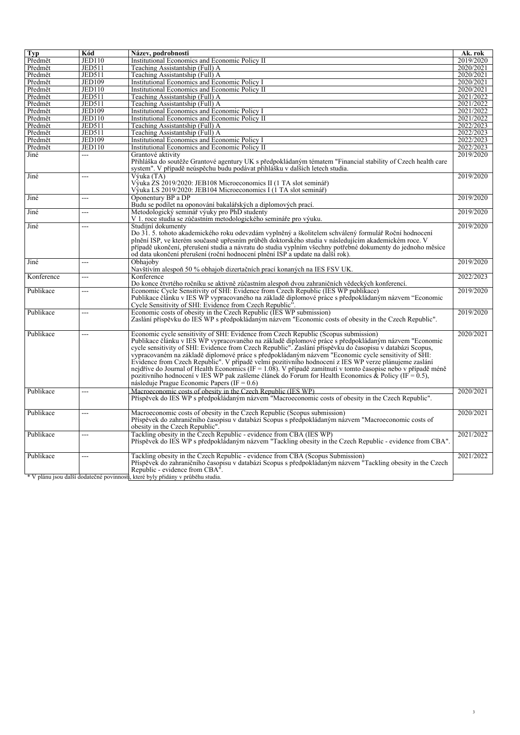| <b>Typ</b> | Kód           | Název, podrobnosti                                                                                            | Ak. rok   |
|------------|---------------|---------------------------------------------------------------------------------------------------------------|-----------|
| Předmět    | <b>JED110</b> | Institutional Economics and Economic Policy II                                                                | 2019/2020 |
| Předmět    | <b>JED511</b> | Teaching Assistantship (Full) A                                                                               | 2020/2021 |
| Předmět    | <b>JED511</b> | Teaching Assistantship (Full) A                                                                               | 2020/2021 |
| Předmět    | <b>JED109</b> | <b>Institutional Economics and Economic Policy I</b>                                                          | 2020/2021 |
| Předmět    | <b>JED110</b> | Institutional Economics and Economic Policy II                                                                | 2020/2021 |
| Předmět    | <b>JED511</b> | Teaching Assistantship (Full) A                                                                               | 2021/2022 |
| Předmět    | <b>JED511</b> | Teaching Assistantship (Full) A                                                                               | 2021/2022 |
| Předmět    | <b>JED109</b> | <b>Institutional Economics and Economic Policy I</b>                                                          | 2021/2022 |
| Předmět    | <b>JED110</b> | <b>Institutional Economics and Economic Policy II</b>                                                         | 2021/2022 |
| Předmět    | <b>JED511</b> | Teaching Assistantship (Full) A                                                                               | 2022/2023 |
| Předmět    | <b>JED511</b> | Teaching Assistantship (Full) A                                                                               | 2022/2023 |
| Předmět    | <b>JED109</b> | <b>Institutional Economics and Economic Policy I</b>                                                          | 2022/2023 |
| Předmět    | <b>JED110</b> | Institutional Economics and Economic Policy II                                                                | 2022/2023 |
| Jiné       | ---           | Grantové aktivity                                                                                             | 2019/2020 |
|            |               | Přihláška do soutěže Grantové agentury UK s předpokládaným tématem "Financial stability of Czech health care  |           |
|            |               | system". V případě neúspěchu budu podávat přihlášku v dalších letech studia.                                  |           |
| Jiné       | ---           | Výuka (TA)                                                                                                    | 2019/2020 |
|            |               | Výuka ZS 2019/2020: JEB108 Microeconomics II (1 TA slot seminář)                                              |           |
|            |               | Výuka LS 2019/2020: JEB104 Microeconomics I (1 TA slot seminář)                                               |           |
| Jiné       | ---           | Oponentury BP a DP                                                                                            | 2019/2020 |
|            |               | Budu se podílet na oponování bakalářských a diplomových prací.                                                |           |
| Jiné       | ---           | Metodologický seminář výuky pro PhD studenty                                                                  | 2019/2020 |
|            |               | V 1. roce studia se zúčastním metodologického semináře pro výuku.                                             |           |
| Jiné       | ---           | Studijní dokumenty                                                                                            | 2019/2020 |
|            |               | Do 31. 5. tohoto akademického roku odevzdám vyplněný a školitelem schválený formulář Roční hodnocení          |           |
|            |               | plnění ISP, ve kterém současně upřesním průběh doktorského studia v následujícím akademickém roce. V          |           |
|            |               | případě ukončení, přerušení studia a návratu do studia vyplním všechny potřebné dokumenty do jednoho měsíce   |           |
|            |               | od data ukončení přerušení (roční hodnocení plnění ISP a update na další rok).                                |           |
| Jiné       | ---           | Obhajoby                                                                                                      | 2019/2020 |
|            |               | Navštívím alespoň 50 % obhajob dizertačních prací konaných na IES FSV UK.                                     |           |
| Konference | ---           | Konference                                                                                                    | 2022/2023 |
|            |               | Do konce čtvrtého ročníku se aktivně zúčastním alespoň dvou zahraničních vědeckých konferencí.                |           |
| Publikace  | ---           | Economic Cycle Sensitivity of SHI: Evidence from Czech Republic (IES WP publikace)                            | 2019/2020 |
|            |               | Publikace článku v IES WP vypracovaného na základě diplomové práce s předpokládaným názvem "Economic          |           |
|            |               | Cycle Sensitivity of SHI: Evidence from Czech Republic".                                                      |           |
| Publikace  | ---           | Economic costs of obesity in the Czech Republic (IES WP submission)                                           | 2019/2020 |
|            |               | Zaslání příspěvku do IES WP s předpokládaným názvem "Economic costs of obesity in the Czech Republic".        |           |
|            |               |                                                                                                               |           |
| Publikace  | ---           | Economic cycle sensitivity of SHI: Evidence from Czech Republic (Scopus submission)                           | 2020/2021 |
|            |               | Publikace článku v IES WP vypracovaného na základě diplomové práce s předpokládaným názvem "Economic          |           |
|            |               | cycle sensitivity of SHI: Evidence from Czech Republic". Zaslání příspěvku do časopisu v databázi Scopus,     |           |
|            |               | vypracovaném na základě diplomové práce s předpokládaným názvem "Economic cycle sensitivity of SHI:           |           |
|            |               | Evidence from Czech Republic". V případě velmi pozitivního hodnocení z IES WP verze plánujeme zaslání         |           |
|            |               | nejdříve do Journal of Health Economics (IF = 1.08). V případě zamítnutí v tomto časopise nebo v případě méně |           |
|            |               | pozitivního hodnocení v IES WP pak zašleme článek do Forum for Health Economics & Policy (IF = 0.5),          |           |
|            |               | následuje Prague Economic Papers (IF = $0.6$ )                                                                |           |
| Publikace  | ---           | Macroeconomic costs of obesity in the Czech Republic (IES WP)                                                 | 2020/2021 |
|            |               | Příspěvek do IES WP s předpokládaným názvem "Macroeconomic costs of obesity in the Czech Republic".           |           |
|            |               |                                                                                                               |           |
| Publikace  | ---           | Macroeconomic costs of obesity in the Czech Republic (Scopus submission)                                      | 2020/2021 |
|            |               | Příspěvek do zahraničního časopisu v databázi Scopus s předpokládaným názvem "Macroeconomic costs of          |           |
|            |               | obesity in the Czech Republic".                                                                               |           |
| Publikace  | ---           | Tackling obesity in the Czech Republic - evidence from CBA (IES WP)                                           | 2021/2022 |
|            |               | Příspěvek do IES WP s předpokládaným názvem "Tackling obesity in the Czech Republic - evidence from CBA".     |           |
|            |               |                                                                                                               |           |
| Publikace  |               | Tackling obesity in the Czech Republic - evidence from CBA (Scopus Submission)                                | 2021/2022 |
|            |               | Příspěvek do zahraničního časopisu v databázi Scopus s předpokládaným názvem "Tackling obesity in the Czech   |           |
|            |               |                                                                                                               |           |
|            |               | Republic - evidence from CBA".                                                                                |           |

*3*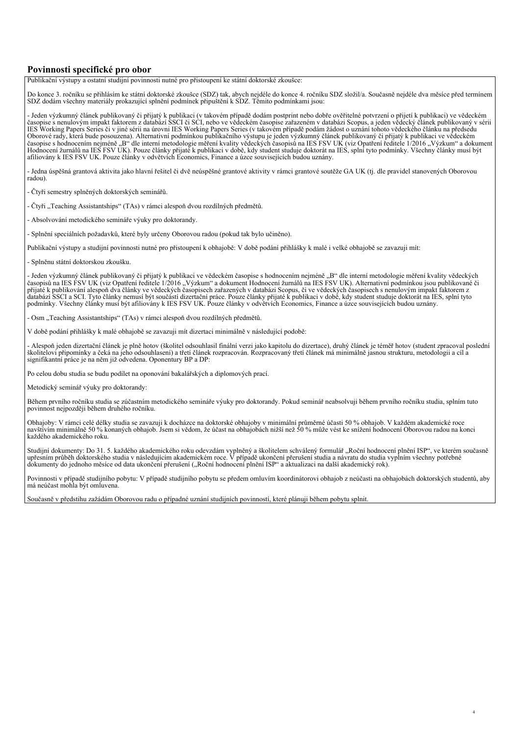## *Povinnosti specifické pro obor*

*Publikační výstupy a ostatní studijní povinnosti nutné pro přistoupení ke státní doktorské zkoušce:*

*Do konce 3. ročníku se přihlásím ke státní doktorské zkoušce (SDZ) tak, abych nejdéle do konce 4. ročníku SDZ složil/a. Současně nejdéle dva měsíce před termínem SDZ dodám všechny materiály prokazující splnění podmínek připuštění k SDZ. Těmito podmínkami jsou:*

*- Jeden výzkumný článek publikovaný či přijatý k publikaci (v takovém případě dodám postprint nebo dobře ověřitelné potvrzení o přijetí k publikaci) ve vědeckém časopise s nenulovým impakt faktorem z databází SSCI či SCI, nebo ve vědeckém časopise zařazeném v databázi Scopus, a jeden vědecký článek publikovaný v sérii IES Working Papers Series či v jiné sérii na úrovni IES Working Papers Series (v takovém případě podám žádost o uznání tohoto vědeckého článku na předsedu Oborové rady, která bude posouzena). Alternativní podmínkou publikačního výstupu je jeden výzkumný článek publikovaný či přijatý k publikaci ve vědeckém časopise s hodnocením nejméně "B" dle interní metodologie měření kvality vědeckých časopisů na IES FSV UK (viz Opatření ředitele 1/2016 "Výzkum" a dokument Hodnocení žurnálů na IES FSV UK). Pouze články přijaté k publikaci v době, kdy student studuje doktorát na IES, splní tyto podmínky. Všechny články musí být afiliovány k IES FSV UK. Pouze články v odvětvích Economics, Finance a úzce souvisejících budou uznány.*

*- Jedna úspěšná grantová aktivita jako hlavní řešitel či dvě neúspěšné grantové aktivity v rámci grantové soutěže GA UK (tj. dle pravidel stanovených Oborovou radou).*

*- Čtyři semestry splněných doktorských seminářů.*

*- Čtyři "Teaching Assistantships" (TAs) v rámci alespoň dvou rozdílných předmětů.*

*- Absolvování metodického semináře výuky pro doktorandy.*

*- Splnění speciálních požadavků, které byly určeny Oborovou radou (pokud tak bylo učiněno).*

*Publikační výstupy a studijní povinnosti nutné pro přistoupení k obhajobě: V době podání přihlášky k malé i velké obhajobě se zavazuji mít:*

*- Splněnu státní doktorskou zkoušku.*

*- Jeden výzkumný článek publikovaný či přijatý k publikaci ve vědeckém časopise s hodnocením nejméně "B" dle interní metodologie měření kvality vědeckých* časopisů na IES FSV UK (viz Opatření ředitele 1/2016 "Výzkum" a dokument Hodnocení žurnálů na IES FSV UK). Alternativní podmínkou jsou publikované či<br>přijaté k publikování alespoň dva články ve vědeckých časopisech zařazen *podmínky. Všechny články musí být afiliovány k IES FSV UK. Pouze články v odvětvích Economics, Finance a úzce souvisejících budou uznány.*

*- Osm "Teaching Assistantships" (TAs) v rámci alespoň dvou rozdílných předmětů.*

*V době podání přihlášky k malé obhajobě se zavazuji mít dizertaci minimálně v následující podobě:*

*- Alespoň jeden dizertační článek je plně hotov (školitel odsouhlasil finální verzi jako kapitolu do dizertace), druhý článek je téměř hotov (student zpracoval poslední školitelovi připomínky a čeká na jeho odsouhlasení) a třetí článek rozpracován. Rozpracovaný třetí článek má minimálně jasnou strukturu, metodologii a cíl a signifikantní práce je na něm již odvedena. Oponentury BP a DP:*

*Po celou dobu studia se budu podílet na oponování bakalářských a diplomových prací.*

*Metodický seminář výuky pro doktorandy:*

*Během prvního ročníku studia se zúčastním metodického semináře výuky pro doktorandy. Pokud seminář neabsolvuji během prvního ročníku studia, splním tuto povinnost nejpozději během druhého ročníku.*

*Obhajoby: V rámci celé délky studia se zavazuji k docházce na doktorské obhajoby v minimální průměrné účasti 50 % obhajob. V každém akademické roce navštívím minimálně 50 % konaných obhajob. Jsem si vědom, že účast na obhajobách nižší než 50 % může vést ke snížení hodnocení Oborovou radou na konci každého akademického roku.*

*Studijní dokumenty: Do 31. 5. každého akademického roku odevzdám vyplněný a školitelem schválený formulář "Roční hodnocení plnění ISP", ve kterém současně upřesním průběh doktorského studia v následujícím akademickém roce. V případě ukončení přerušení studia a návratu do studia vyplním všechny potřebné dokumenty do jednoho měsíce od data ukončení přerušení ("Roční hodnocení plnění ISP" a aktualizaci na další akademický rok).*

*Povinnosti v případě studijního pobytu: V případě studijního pobytu se předem omluvím koordinátorovi obhajob z neúčasti na obhajobách doktorských studentů, aby má neúčast mohla být omluvena.*

*4*

*Současně v předstihu zažádám Oborovou radu o případné uznání studijních povinností, které plánuji během pobytu splnit.*